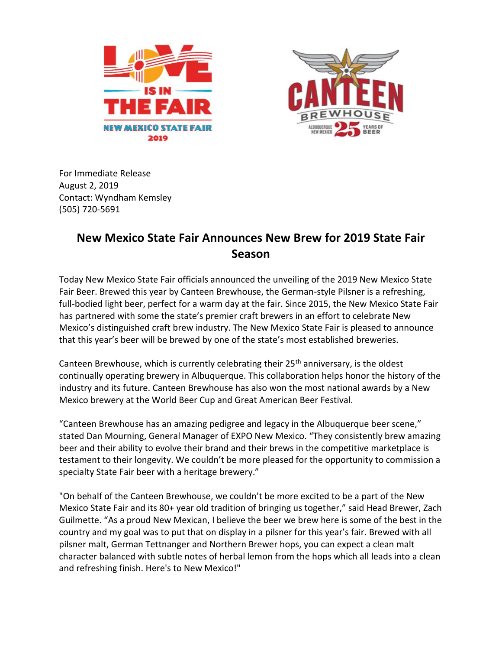



For Immediate Release August 2, 2019 Contact: Wyndham Kemsley (505) 720-5691

## **New Mexico State Fair Announces New Brew for 2019 State Fair Season**

Today New Mexico State Fair officials announced the unveiling of the 2019 New Mexico State Fair Beer. Brewed this year by Canteen Brewhouse, the German-style Pilsner is a refreshing, full-bodied light beer, perfect for a warm day at the fair. Since 2015, the New Mexico State Fair has partnered with some the state's premier craft brewers in an effort to celebrate New Mexico's distinguished craft brew industry. The New Mexico State Fair is pleased to announce that this year's beer will be brewed by one of the state's most established breweries.

Canteen Brewhouse, which is currently celebrating their 25<sup>th</sup> anniversary, is the oldest continually operating brewery in Albuquerque. This collaboration helps honor the history of the industry and its future. Canteen Brewhouse has also won the most national awards by a New Mexico brewery at the World Beer Cup and Great American Beer Festival.

"Canteen Brewhouse has an amazing pedigree and legacy in the Albuquerque beer scene," stated Dan Mourning, General Manager of EXPO New Mexico. "They consistently brew amazing beer and their ability to evolve their brand and their brews in the competitive marketplace is testament to their longevity. We couldn't be more pleased for the opportunity to commission a specialty State Fair beer with a heritage brewery."

"On behalf of the Canteen Brewhouse, we couldn't be more excited to be a part of the New Mexico State Fair and its 80+ year old tradition of bringing us together," said Head Brewer, Zach Guilmette. "As a proud New Mexican, I believe the beer we brew here is some of the best in the country and my goal was to put that on display in a pilsner for this year's fair. Brewed with all pilsner malt, German Tettnanger and Northern Brewer hops, you can expect a clean malt character balanced with subtle notes of herbal lemon from the hops which all leads into a clean and refreshing finish. Here's to New Mexico!"